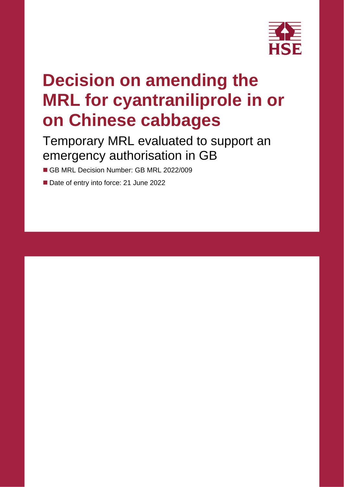

# **Decision on amending the MRL for cyantraniliprole in or on Chinese cabbages**

### Temporary MRL evaluated to support an emergency authorisation in GB

- GB MRL Decision Number: GB MRL 2022/009
- Date of entry into force: 21 June 2022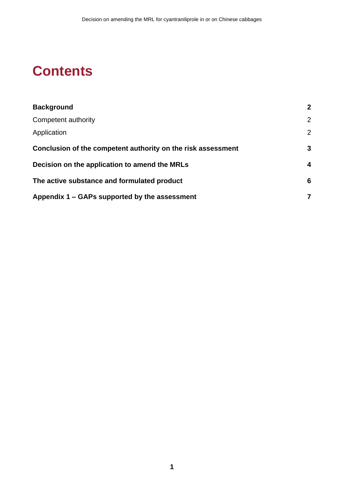### **Contents**

| <b>Background</b>                                            | $\overline{2}$ |
|--------------------------------------------------------------|----------------|
| Competent authority                                          | $\overline{2}$ |
| Application                                                  | $\overline{2}$ |
| Conclusion of the competent authority on the risk assessment | 3              |
| Decision on the application to amend the MRLs                | 4              |
| The active substance and formulated product                  | 6              |
| Appendix 1 – GAPs supported by the assessment                | 7              |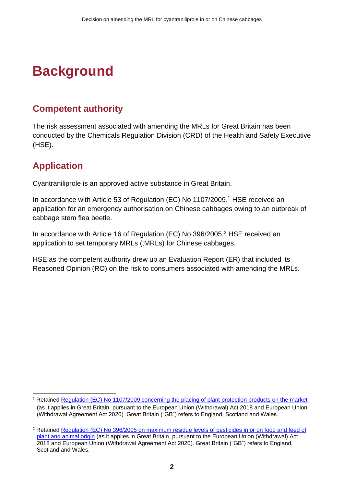# <span id="page-3-0"></span>**Background**

### <span id="page-3-1"></span>**Competent authority**

The risk assessment associated with amending the MRLs for Great Britain has been conducted by the Chemicals Regulation Division (CRD) of the Health and Safety Executive (HSE).

### <span id="page-3-2"></span>**Application**

Cyantraniliprole is an approved active substance in Great Britain.

In accordance with Article 53 of Regulation (EC) No 1107/2009, <sup>1</sup> HSE received an application for an emergency authorisation on Chinese cabbages owing to an outbreak of cabbage stem flea beetle.

In accordance with Article 16 of Regulation (EC) No 396/2005,<sup>2</sup> HSE received an application to set temporary MRLs (tMRLs) for Chinese cabbages.

HSE as the competent authority drew up an Evaluation Report (ER) that included its Reasoned Opinion (RO) on the risk to consumers associated with amending the MRLs.

<sup>1</sup> Retained [Regulation \(EC\) No 1107/2009 concerning the placing of plant protection products on the market](https://www.legislation.gov.uk/eur/2009/1107/contents) (as it applies in Great Britain, pursuant to the European Union (Withdrawal) Act 2018 and European Union (Withdrawal Agreement Act 2020). Great Britain ("GB") refers to England, Scotland and Wales.

<sup>2</sup> Retained [Regulation \(EC\) No 396/2005 on maximum residue levels of pesticides in or on food and feed of](https://www.legislation.gov.uk/eur/2005/396/contents)  [plant and animal origin](https://www.legislation.gov.uk/eur/2005/396/contents) (as it applies in Great Britain, pursuant to the European Union (Withdrawal) Act 2018 and European Union (Withdrawal Agreement Act 2020). Great Britain ("GB") refers to England, Scotland and Wales.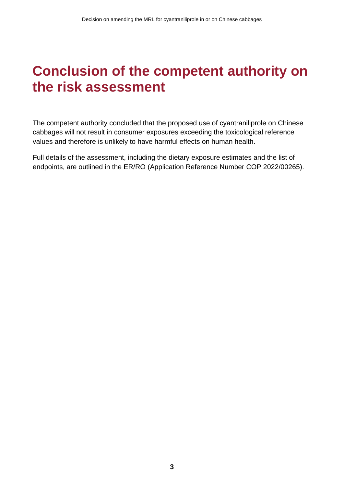### <span id="page-4-0"></span>**Conclusion of the competent authority on the risk assessment**

The competent authority concluded that the proposed use of cyantraniliprole on Chinese cabbages will not result in consumer exposures exceeding the toxicological reference values and therefore is unlikely to have harmful effects on human health.

Full details of the assessment, including the dietary exposure estimates and the list of endpoints, are outlined in the ER/RO (Application Reference Number COP 2022/00265).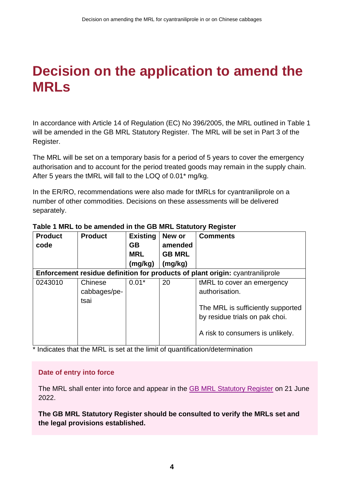## <span id="page-5-0"></span>**Decision on the application to amend the MRLs**

In accordance with Article 14 of Regulation (EC) No 396/2005, the MRL outlined in Table 1 will be amended in the GB MRL Statutory Register. The MRL will be set in Part 3 of the Register.

The MRL will be set on a temporary basis for a period of 5 years to cover the emergency authorisation and to account for the period treated goods may remain in the supply chain. After 5 years the tMRL will fall to the LOQ of 0.01\* mg/kg.

In the ER/RO, recommendations were also made for tMRLs for cyantraniliprole on a number of other commodities. Decisions on these assessments will be delivered separately.

| <b>Product</b><br>code | <b>Product</b> | <b>Existing</b><br><b>GB</b><br><b>MRL</b><br>(mg/kg) | New or<br>amended<br><b>GB MRL</b><br>(mg/kg) | <b>Comments</b>                                                                                         |
|------------------------|----------------|-------------------------------------------------------|-----------------------------------------------|---------------------------------------------------------------------------------------------------------|
|                        |                |                                                       |                                               | Enforcement residue definition for products of plant origin: cyantraniliprole                           |
| 0243010                | Chinese        | $0.01*$                                               | 20                                            | tMRL to cover an emergency                                                                              |
|                        | cabbages/pe-   |                                                       |                                               | authorisation.                                                                                          |
|                        | tsai           |                                                       |                                               | The MRL is sufficiently supported<br>by residue trials on pak choi.<br>A risk to consumers is unlikely. |

#### **Table 1 MRL to be amended in the GB MRL Statutory Register**

\* Indicates that the MRL is set at the limit of quantification/determination

#### **Date of entry into force**

The MRL shall enter into force and appear in the [GB MRL Statutory Register](https://secure.pesticides.gov.uk/MRLs/Main) on 21 June 2022.

**The GB MRL Statutory Register should be consulted to verify the MRLs set and the legal provisions established.**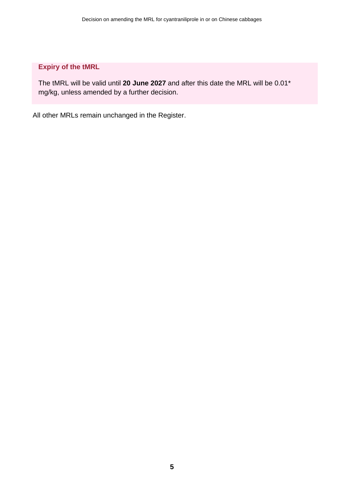#### **Expiry of the tMRL**

The tMRL will be valid until **20 June 2027** and after this date the MRL will be 0.01\* mg/kg, unless amended by a further decision.

All other MRLs remain unchanged in the Register.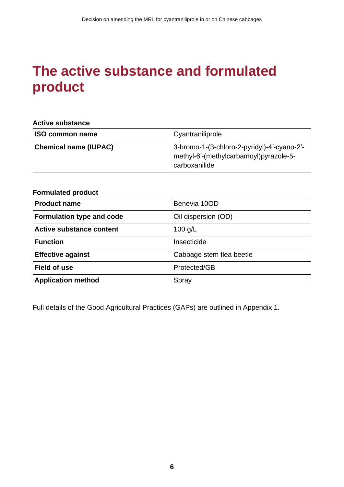## <span id="page-7-0"></span>**The active substance and formulated product**

#### **Active substance**

| <b>ISO common name</b>       | Cyantraniliprole                                                                                        |
|------------------------------|---------------------------------------------------------------------------------------------------------|
| <b>Chemical name (IUPAC)</b> | 3-bromo-1-(3-chloro-2-pyridyl)-4'-cyano-2'-<br> methyl-6'-(methylcarbamoyl)pyrazole-5-<br>carboxanilide |

#### **Formulated product**

| <b>Product name</b>              | Benevia 10OD             |
|----------------------------------|--------------------------|
| <b>Formulation type and code</b> | Oil dispersion (OD)      |
| <b>Active substance content</b>  | $100$ g/L                |
| <b>Function</b>                  | Insecticide              |
| <b>Effective against</b>         | Cabbage stem flea beetle |
| <b>Field of use</b>              | Protected/GB             |
| <b>Application method</b>        | Spray                    |

Full details of the Good Agricultural Practices (GAPs) are outlined in Appendix 1.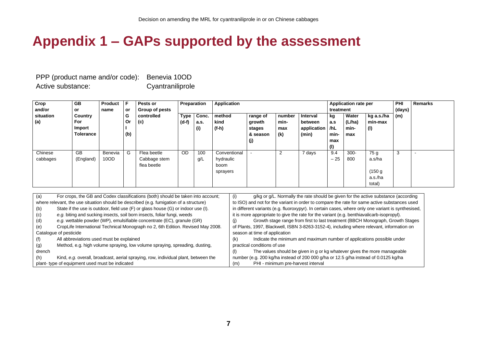### **Appendix 1 – GAPs supported by the assessment**

PPP (product name and/or code): Benevia 10OD Active substance: Cyantraniliprole

| Crop      | <b>GB</b>        | Product F |           | Pests or       | Preparation |       | Application  |          |        | Application rate per |           |         | <b>PHI</b>                 | <b>Remarks</b> |  |
|-----------|------------------|-----------|-----------|----------------|-------------|-------|--------------|----------|--------|----------------------|-----------|---------|----------------------------|----------------|--|
| and/or    | or               | name      | <b>or</b> | Group of pests |             |       |              |          |        |                      | treatment |         |                            | (days)         |  |
| situation | Country          |           | G         | controlled     | <b>Type</b> | Conc. | method       | range of | number | Interval             | kg        | Water   | kg a.s./ha                 | (m)            |  |
| (a)       | For              |           | . Or      | (c)            | $(d-f)$     | a.s.  | kind         | growth   | min-   | between              | a.s       | (L/ha)  | l min-max                  |                |  |
|           | Import           |           |           |                |             | (i)   | (f-h)        | stages   | max    | application          | /hL       | min-    | $\left( \mathsf{I}\right)$ |                |  |
|           | <b>Tolerance</b> |           | (b)       |                |             |       |              | & season | (k)    | (min)                | min-      | max     |                            |                |  |
|           |                  |           |           |                |             |       |              | (j)      |        |                      | max       |         |                            |                |  |
|           |                  |           |           |                |             |       |              |          |        |                      | (1)       |         |                            |                |  |
| Chinese   | <b>GB</b>        | Benevia   | G         | Flea beetle    | <b>OD</b>   | 100   | Conventional |          | 2      | 7 days               | 9.4       | $300 -$ | 75 g                       | 3              |  |
| cabbages  | (England)        | 10OD      |           | Cabbage stem   |             | g/L   | hydraulic    |          |        |                      | $-25$     | 800     | a.s/ha                     |                |  |
|           |                  |           |           | flea beetle    |             |       | boom         |          |        |                      |           |         |                            |                |  |
|           |                  |           |           |                |             |       | sprayers     |          |        |                      |           |         | (150 g)                    |                |  |
|           |                  |           |           |                |             |       |              |          |        |                      |           |         | a.s./ha                    |                |  |
|           |                  |           |           |                |             |       |              |          |        |                      |           |         | total)                     |                |  |

<span id="page-8-0"></span>

| (a)                                                                                    | For crops, the GB and Codex classifications (both) should be taken into account;   | g/kg or g/L. Normally the rate should be given for the active substance (according<br>(i)          |  |  |  |  |  |
|----------------------------------------------------------------------------------------|------------------------------------------------------------------------------------|----------------------------------------------------------------------------------------------------|--|--|--|--|--|
| where relevant, the use situation should be described (e.g. fumigation of a structure) |                                                                                    | to ISO) and not for the variant in order to compare the rate for same active substances used       |  |  |  |  |  |
| (b)                                                                                    | State if the use is outdoor, field use (F) or glass house (G) or indoor use (I).   | in different variants (e.g. fluoroxypyr). In certain cases, where only one variant is synthesised, |  |  |  |  |  |
| (c)                                                                                    | e.g. biting and sucking insects, soil born insects, foliar fungi, weeds            | it is more appropriate to give the rate for the variant (e.g. benthiavalicarb-isopropyl).          |  |  |  |  |  |
| (d)                                                                                    | e.g. wettable powder (WP), emulsifiable concentrate (EC), granule (GR)             | Growth stage range from first to last treatment (BBCH Monograph, Growth Stages<br>(i)              |  |  |  |  |  |
| (e)                                                                                    | CropLife International Technical Monograph no 2, 6th Edition. Revised May 2008.    | of Plants, 1997, Blackwell, ISBN 3-8263-3152-4), including where relevant, information on          |  |  |  |  |  |
|                                                                                        | Catalogue of pesticide                                                             | season at time of application                                                                      |  |  |  |  |  |
| (f)                                                                                    | All abbreviations used must be explained                                           | Indicate the minimum and maximum number of applications possible under<br>(k)                      |  |  |  |  |  |
| (g)                                                                                    | Method, e.g. high volume spraying, low volume spraying, spreading, dusting,        | practical conditions of use                                                                        |  |  |  |  |  |
| drench                                                                                 |                                                                                    | The values should be given in g or kg whatever gives the more manageable<br>(1)                    |  |  |  |  |  |
| (h)                                                                                    | Kind, e.g. overall, broadcast, aerial spraying, row, individual plant, between the | number (e.g. 200 kg/ha instead of 200 000 g/ha or 12.5 g/ha instead of 0.0125 kg/ha                |  |  |  |  |  |
|                                                                                        | plant-type of equipment used must be indicated                                     | PHI - minimum pre-harvest interval<br>(m)                                                          |  |  |  |  |  |